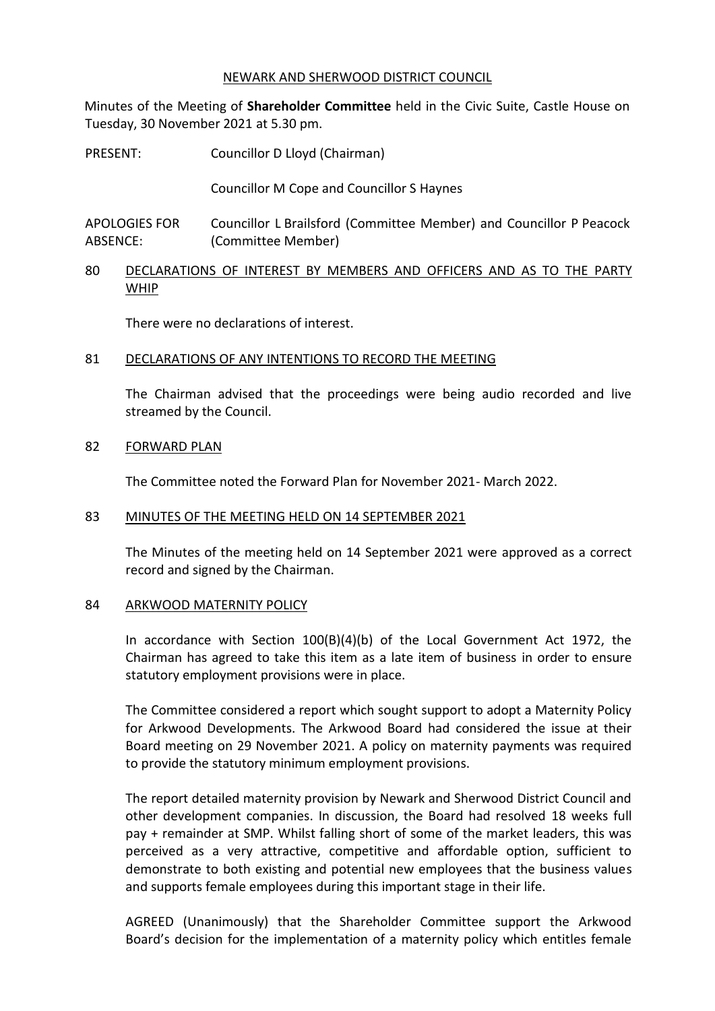#### NEWARK AND SHERWOOD DISTRICT COUNCIL

Minutes of the Meeting of **Shareholder Committee** held in the Civic Suite, Castle House on Tuesday, 30 November 2021 at 5.30 pm.

PRESENT: Councillor D Lloyd (Chairman)

Councillor M Cope and Councillor S Haynes

APOLOGIES FOR ABSENCE: Councillor L Brailsford (Committee Member) and Councillor P Peacock (Committee Member)

80 DECLARATIONS OF INTEREST BY MEMBERS AND OFFICERS AND AS TO THE PARTY WHIP

There were no declarations of interest.

## 81 DECLARATIONS OF ANY INTENTIONS TO RECORD THE MEETING

The Chairman advised that the proceedings were being audio recorded and live streamed by the Council.

#### 82 FORWARD PLAN

The Committee noted the Forward Plan for November 2021- March 2022.

## 83 MINUTES OF THE MEETING HELD ON 14 SEPTEMBER 2021

The Minutes of the meeting held on 14 September 2021 were approved as a correct record and signed by the Chairman.

## 84 ARKWOOD MATERNITY POLICY

In accordance with Section 100(B)(4)(b) of the Local Government Act 1972, the Chairman has agreed to take this item as a late item of business in order to ensure statutory employment provisions were in place.

The Committee considered a report which sought support to adopt a Maternity Policy for Arkwood Developments. The Arkwood Board had considered the issue at their Board meeting on 29 November 2021. A policy on maternity payments was required to provide the statutory minimum employment provisions.

The report detailed maternity provision by Newark and Sherwood District Council and other development companies. In discussion, the Board had resolved 18 weeks full pay + remainder at SMP. Whilst falling short of some of the market leaders, this was perceived as a very attractive, competitive and affordable option, sufficient to demonstrate to both existing and potential new employees that the business values and supports female employees during this important stage in their life.

AGREED (Unanimously) that the Shareholder Committee support the Arkwood Board's decision for the implementation of a maternity policy which entitles female